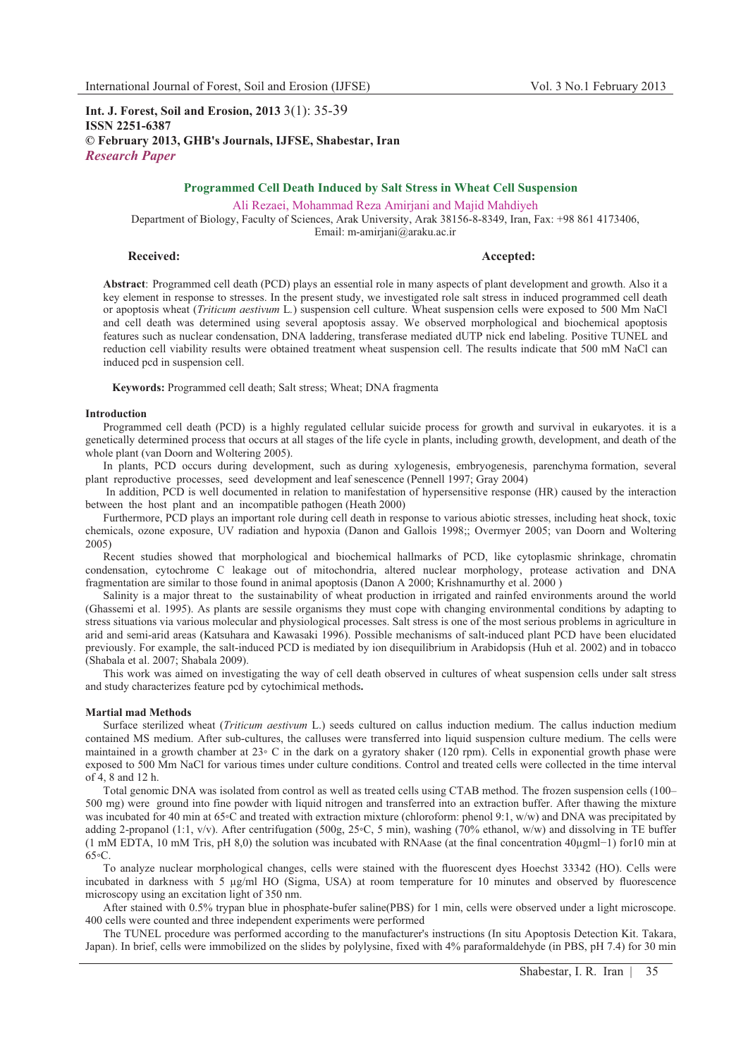**Int. J. Forest, Soil and Erosion, 2013** 3(1): 35-39 **ISSN 2251-6387 © February 2013, GHB's Journals, IJFSE, Shabestar, Iran** *Research Paper*

# **Programmed Cell Death Induced by Salt Stress in Wheat Cell Suspension**

Ali Rezaei, Mohammad Reza Amirjani and Majid Mahdiyeh

Department of Biology, Faculty of Sciences, Arak University, Arak 38156-8-8349, Iran, Fax: +98 861 4173406, Email: m-amirjani@araku.ac.ir

## **Received:** Accepted: **Accepted: Accepted: Accepted: Accepted: Accepted: Accepted: Accepted: Accepted: Accepted: Accepted: Accepted: Accepted: Accepted: Accepted: Accepted: Accepted: Accepte**

**Abstract**: Programmed cell death (PCD) plays an essential role in many aspects of plant development and growth. Also it a key element in response to stresses. In the present study, we investigated role salt stress in induced programmed cell death or apoptosis wheat (*Triticum aestivum* L*.*) suspension cell culture. Wheat suspension cells were exposed to 500 Mm NaCl and cell death was determined using several apoptosis assay. We observed morphological and biochemical apoptosis features such as nuclear condensation, DNA laddering, transferase mediated dUTP nick end labeling. Positive TUNEL and reduction cell viability results were obtained treatment wheat suspension cell. The results indicate that 500 mM NaCl can induced pcd in suspension cell.

**Keywords:** Programmed cell death; Salt stress; Wheat; DNA fragmenta

#### **Introduction**

Programmed cell death (PCD) is a highly regulated cellular suicide process for growth and survival in eukaryotes. it is a genetically determined process that occurs at all stages of the life cycle in plants, including growth, development, and death of the whole plant (van Doorn and Woltering 2005).

In plants, PCD occurs during development, such as during xylogenesis, embryogenesis, parenchyma formation, several plant reproductive processes, seed development and leaf senescence (Pennell 1997; Gray 2004)

 In addition, PCD is well documented in relation to manifestation of hypersensitive response (HR) caused by the interaction between the host plant and an incompatible pathogen (Heath 2000)

Furthermore, PCD plays an important role during cell death in response to various abiotic stresses, including heat shock, toxic chemicals, ozone exposure, UV radiation and hypoxia (Danon and Gallois 1998;; Overmyer 2005; van Doorn and Woltering 2005)

Recent studies showed that morphological and biochemical hallmarks of PCD, like cytoplasmic shrinkage, chromatin condensation, cytochrome C leakage out of mitochondria, altered nuclear morphology, protease activation and DNA fragmentation are similar to those found in animal apoptosis (Danon A 2000; Krishnamurthy et al. 2000 )

Salinity is a major threat to the sustainability of wheat production in irrigated and rainfed environments around the world (Ghassemi et al. 1995). As plants are sessile organisms they must cope with changing environmental conditions by adapting to stress situations via various molecular and physiological processes. Salt stress is one of the most serious problems in agriculture in arid and semi-arid areas (Katsuhara and Kawasaki 1996). Possible mechanisms of salt-induced plant PCD have been elucidated previously. For example, the salt-induced PCD is mediated by ion disequilibrium in Arabidopsis (Huh et al. 2002) and in tobacco (Shabala et al. 2007; Shabala 2009).

This work was aimed on investigating the way of cell death observed in cultures of wheat suspension cells under salt stress and study characterizes feature pcd by cytochimical methods**.** 

## **Martial mad Methods**

Surface sterilized wheat (*Triticum aestivum* L.) seeds cultured on callus induction medium. The callus induction medium contained MS medium. After sub-cultures, the calluses were transferred into liquid suspension culture medium. The cells were maintained in a growth chamber at 23° C in the dark on a gyratory shaker (120 rpm). Cells in exponential growth phase were exposed to 500 Mm NaCl for various times under culture conditions. Control and treated cells were collected in the time interval of 4, 8 and 12 h.

Total genomic DNA was isolated from control as well as treated cells using CTAB method. The frozen suspension cells (100– 500 mg) were ground into fine powder with liquid nitrogen and transferred into an extraction buffer. After thawing the mixture was incubated for 40 min at 65 °C and treated with extraction mixture (chloroform: phenol 9:1, w/w) and DNA was precipitated by adding 2-propanol (1:1, v/v). After centrifugation (500g, 25°C, 5 min), washing (70% ethanol, w/w) and dissolving in TE buffer (1 mM EDTA, 10 mM Tris, pH 8,0) the solution was incubated with RNAase (at the final concentration  $40\mu$ gml-1) for 10 min at  $65 \degree$ C.

To analyze nuclear morphological changes, cells were stained with the fluorescent dyes Hoechst 33342 (HO). Cells were incubated in darkness with 5 μg/ml HO (Sigma, USA) at room temperature for 10 minutes and observed by fluorescence microscopy using an excitation light of 350 nm.

After stained with 0.5% trypan blue in phosphate-bufer saline(PBS) for 1 min, cells were observed under a light microscope. 400 cells were counted and three independent experiments were performed

The TUNEL procedure was performed according to the manufacturer's instructions (In situ Apoptosis Detection Kit. Takara, Japan). In brief, cells were immobilized on the slides by polylysine, fixed with 4% paraformaldehyde (in PBS, pH 7.4) for 30 min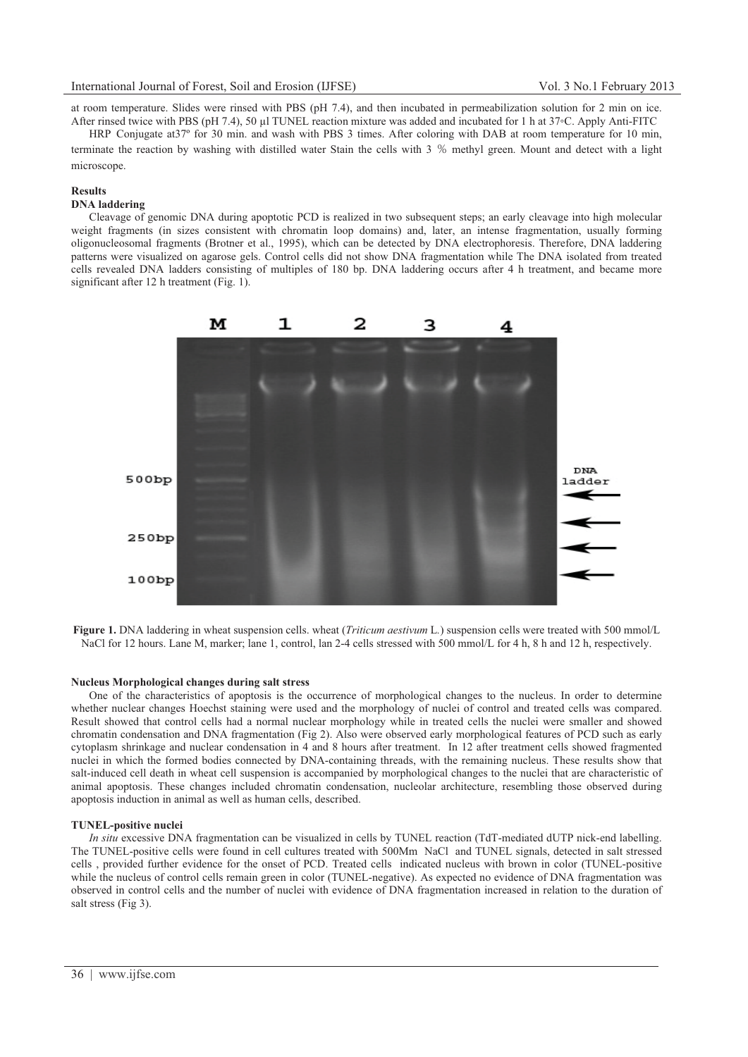at room temperature. Slides were rinsed with PBS (pH 7.4), and then incubated in permeabilization solution for 2 min on ice. After rinsed twice with PBS (pH 7.4), 50 μl TUNEL reaction mixture was added and incubated for 1 h at 37-C. Apply Anti-FITC

HRP Conjugate at 37<sup>°</sup> for 30 min. and wash with PBS 3 times. After coloring with DAB at room temperature for 10 min. terminate the reaction by washing with distilled water Stain the cells with 3 % methyl green. Mount and detect with a light microscope.

## **Results**

## **DNA laddering**

Cleavage of genomic DNA during apoptotic PCD is realized in two subsequent steps; an early cleavage into high molecular weight fragments (in sizes consistent with chromatin loop domains) and, later, an intense fragmentation, usually forming oligonucleosomal fragments (Brotner et al., 1995), which can be detected by DNA electrophoresis. Therefore, DNA laddering patterns were visualized on agarose gels. Control cells did not show DNA fragmentation while The DNA isolated from treated cells revealed DNA ladders consisting of multiples of 180 bp. DNA laddering occurs after 4 h treatment, and became more significant after 12 h treatment (Fig. 1).



**Figure 1.** DNA laddering in wheat suspension cells. wheat (*Triticum aestivum* L*.*) suspension cells were treated with 500 mmol/L NaCl for 12 hours. Lane M, marker; lane 1, control, lan 2-4 cells stressed with 500 mmol/L for 4 h, 8 h and 12 h, respectively.

#### **Nucleus Morphological changes during salt stress**

One of the characteristics of apoptosis is the occurrence of morphological changes to the nucleus. In order to determine whether nuclear changes Hoechst staining were used and the morphology of nuclei of control and treated cells was compared. Result showed that control cells had a normal nuclear morphology while in treated cells the nuclei were smaller and showed chromatin condensation and DNA fragmentation (Fig 2). Also were observed early morphological features of PCD such as early cytoplasm shrinkage and nuclear condensation in 4 and 8 hours after treatment. In 12 after treatment cells showed fragmented nuclei in which the formed bodies connected by DNA-containing threads, with the remaining nucleus. These results show that salt-induced cell death in wheat cell suspension is accompanied by morphological changes to the nuclei that are characteristic of animal apoptosis. These changes included chromatin condensation, nucleolar architecture, resembling those observed during apoptosis induction in animal as well as human cells, described.

## **TUNEL-positive nuclei**

*In situ* excessive DNA fragmentation can be visualized in cells by TUNEL reaction (TdT-mediated dUTP nick-end labelling. The TUNEL-positive cells were found in cell cultures treated with 500Mm NaCl and TUNEL signals, detected in salt stressed cells , provided further evidence for the onset of PCD. Treated cells indicated nucleus with brown in color (TUNEL-positive while the nucleus of control cells remain green in color (TUNEL-negative). As expected no evidence of DNA fragmentation was observed in control cells and the number of nuclei with evidence of DNA fragmentation increased in relation to the duration of salt stress (Fig 3).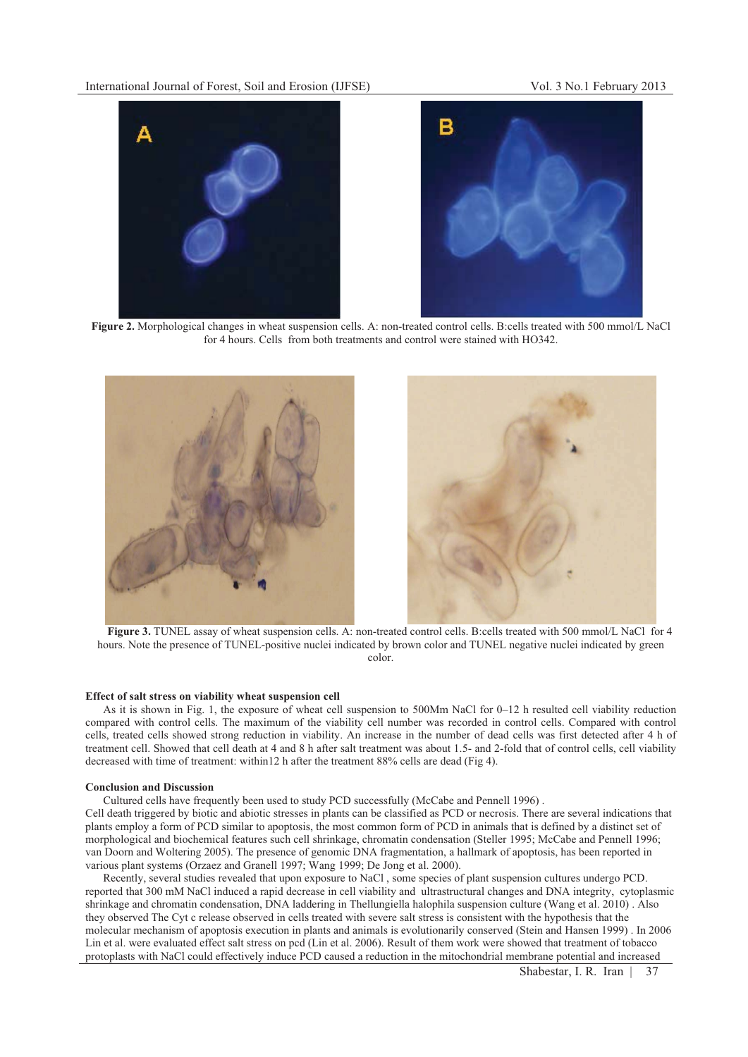



**Figure 2.** Morphological changes in wheat suspension cells. A: non-treated control cells. B:cells treated with 500 mmol/L NaCl for 4 hours. Cells from both treatments and control were stained with HO342.



**Figure 3.** TUNEL assay of wheat suspension cells. A: non-treated control cells. B:cells treated with 500 mmol/L NaCl for 4 hours. Note the presence of TUNEL-positive nuclei indicated by brown color and TUNEL negative nuclei indicated by green color.

## **Effect of salt stress on viability wheat suspension cell**

As it is shown in Fig. 1, the exposure of wheat cell suspension to 500Mm NaCl for 0–12 h resulted cell viability reduction compared with control cells. The maximum of the viability cell number was recorded in control cells. Compared with control cells, treated cells showed strong reduction in viability. An increase in the number of dead cells was first detected after 4 h of treatment cell. Showed that cell death at 4 and 8 h after salt treatment was about 1.5- and 2-fold that of control cells, cell viability decreased with time of treatment: within12 h after the treatment 88% cells are dead (Fig 4).

### **Conclusion and Discussion**

Cultured cells have frequently been used to study PCD successfully (McCabe and Pennell 1996) .

Cell death triggered by biotic and abiotic stresses in plants can be classified as PCD or necrosis. There are several indications that plants employ a form of PCD similar to apoptosis, the most common form of PCD in animals that is defined by a distinct set of morphological and biochemical features such cell shrinkage, chromatin condensation (Steller 1995; McCabe and Pennell 1996; van Doorn and Woltering 2005). The presence of genomic DNA fragmentation, a hallmark of apoptosis, has been reported in various plant systems (Orzaez and Granell 1997; Wang 1999; De Jong et al. 2000).

Recently, several studies revealed that upon exposure to NaCl , some species of plant suspension cultures undergo PCD. reported that 300 mM NaCl induced a rapid decrease in cell viability and ultrastructural changes and DNA integrity, cytoplasmic shrinkage and chromatin condensation, DNA laddering in Thellungiella halophila suspension culture (Wang et al. 2010) . Also they observed The Cyt c release observed in cells treated with severe salt stress is consistent with the hypothesis that the molecular mechanism of apoptosis execution in plants and animals is evolutionarily conserved (Stein and Hansen 1999) . In 2006 Lin et al. were evaluated effect salt stress on pcd (Lin et al. 2006). Result of them work were showed that treatment of tobacco protoplasts with NaCl could effectively induce PCD caused a reduction in the mitochondrial membrane potential and increased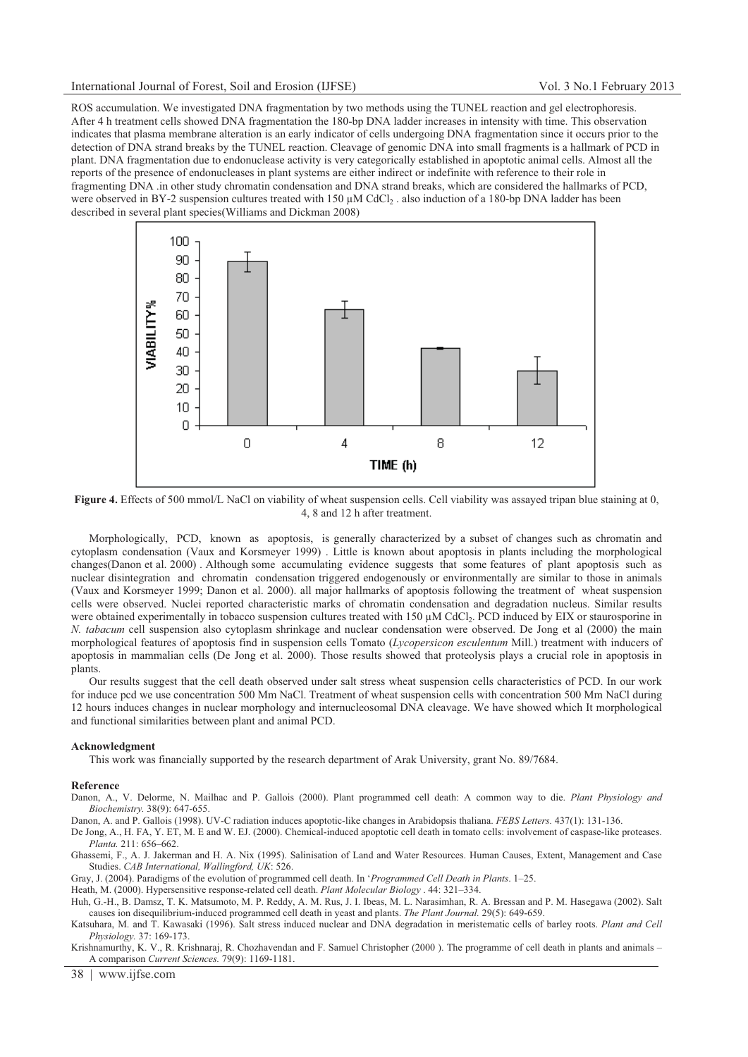ROS accumulation. We investigated DNA fragmentation by two methods using the TUNEL reaction and gel electrophoresis. After 4 h treatment cells showed DNA fragmentation the 180-bp DNA ladder increases in intensity with time. This observation indicates that plasma membrane alteration is an early indicator of cells undergoing DNA fragmentation since it occurs prior to the detection of DNA strand breaks by the TUNEL reaction. Cleavage of genomic DNA into small fragments is a hallmark of PCD in plant. DNA fragmentation due to endonuclease activity is very categorically established in apoptotic animal cells. Almost all the reports of the presence of endonucleases in plant systems are either indirect or indefinite with reference to their role in fragmenting DNA .in other study chromatin condensation and DNA strand breaks, which are considered the hallmarks of PCD, were observed in BY-2 suspension cultures treated with 150 μM CdCl<sub>2</sub>. also induction of a 180-bp DNA ladder has been described in several plant species(Williams and Dickman 2008)



**Figure 4.** Effects of 500 mmol/L NaCl on viability of wheat suspension cells. Cell viability was assayed tripan blue staining at 0, 4, 8 and 12 h after treatment.

Morphologically, PCD, known as apoptosis, is generally characterized by a subset of changes such as chromatin and cytoplasm condensation (Vaux and Korsmeyer 1999) . Little is known about apoptosis in plants including the morphological changes(Danon et al. 2000) . Although some accumulating evidence suggests that some features of plant apoptosis such as nuclear disintegration and chromatin condensation triggered endogenously or environmentally are similar to those in animals (Vaux and Korsmeyer 1999; Danon et al. 2000). all major hallmarks of apoptosis following the treatment of wheat suspension cells were observed. Nuclei reported characteristic marks of chromatin condensation and degradation nucleus. Similar results were obtained experimentally in tobacco suspension cultures treated with 150 uM CdCl<sub>2</sub>. PCD induced by EIX or staurosporine in *N. tabacum* cell suspension also cytoplasm shrinkage and nuclear condensation were observed. De Jong et al (2000) the main morphological features of apoptosis find in suspension cells Tomato (*Lycopersicon esculentum* Mill.) treatment with inducers of apoptosis in mammalian cells (De Jong et al. 2000). Those results showed that proteolysis plays a crucial role in apoptosis in plants.

Our results suggest that the cell death observed under salt stress wheat suspension cells characteristics of PCD. In our work for induce pcd we use concentration 500 Mm NaCl. Treatment of wheat suspension cells with concentration 500 Mm NaCl during 12 hours induces changes in nuclear morphology and internucleosomal DNA cleavage. We have showed which It morphological and functional similarities between plant and animal PCD.

### **Acknowledgment**

This work was financially supported by the research department of Arak University, grant No. 89/7684.

### **Reference**

Danon, A., V. Delorme, N. Mailhac and P. Gallois (2000). Plant programmed cell death: A common way to die. *Plant Physiology and Biochemistry.* 38(9): 647-655.

Danon, A. and P. Gallois (1998). UV-C radiation induces apoptotic-like changes in Arabidopsis thaliana. *FEBS Letters.* 437(1): 131-136.

De Jong, A., H. FA, Y. ET, M. E and W. EJ. (2000). Chemical-induced apoptotic cell death in tomato cells: involvement of caspase-like proteases. *Planta.* 211: 656–662.

Ghassemi, F., A. J. Jakerman and H. A. Nix (1995). Salinisation of Land and Water Resources. Human Causes, Extent, Management and Case Studies. *CAB International, Wallingford, UK*: 526.

Gray, J. (2004). Paradigms of the evolution of programmed cell death. In '*Programmed Cell Death in Plants*. 1–25.

Heath, M. (2000). Hypersensitive response-related cell death. *Plant Molecular Biology* . 44: 321–334.

Huh, G.-H., B. Damsz, T. K. Matsumoto, M. P. Reddy, A. M. Rus, J. I. Ibeas, M. L. Narasimhan, R. A. Bressan and P. M. Hasegawa (2002). Salt causes ion disequilibrium-induced programmed cell death in yeast and plants. *The Plant Journal.* 29(5): 649-659.

Katsuhara, M. and T. Kawasaki (1996). Salt stress induced nuclear and DNA degradation in meristematic cells of barley roots. *Plant and Cell Physiology.* 37: 169-173.

Krishnamurthy, K. V., R. Krishnaraj, R. Chozhavendan and F. Samuel Christopher (2000 ). The programme of cell death in plants and animals – A comparison *Current Sciences.* 79(9): 1169-1181.

38 | www.ijfse.com